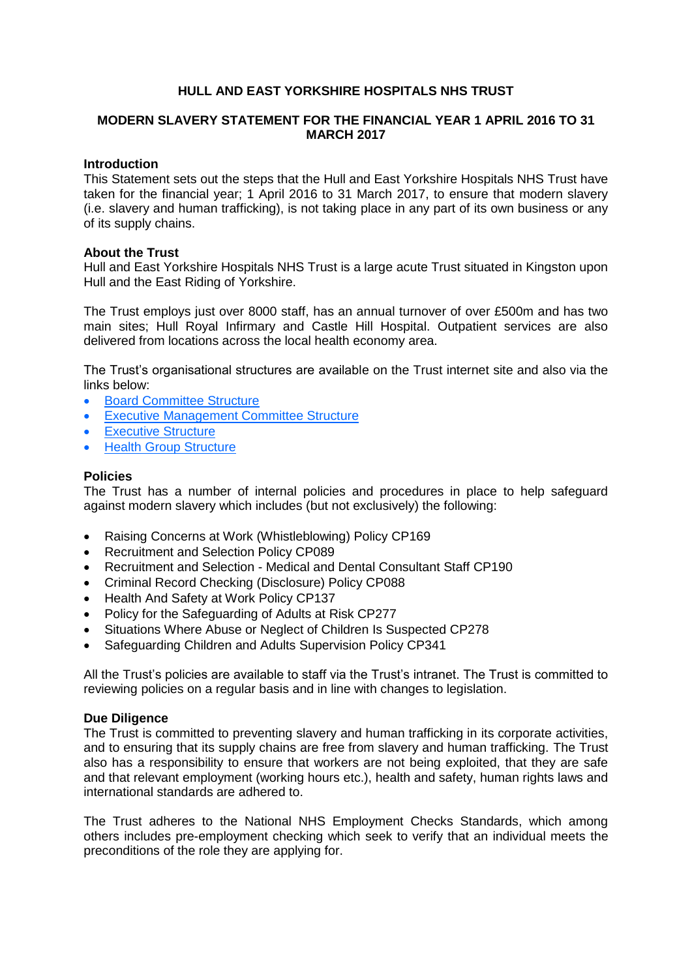# **HULL AND EAST YORKSHIRE HOSPITALS NHS TRUST**

## **MODERN SLAVERY STATEMENT FOR THE FINANCIAL YEAR 1 APRIL 2016 TO 31 MARCH 2017**

#### **Introduction**

This Statement sets out the steps that the Hull and East Yorkshire Hospitals NHS Trust have taken for the financial year; 1 April 2016 to 31 March 2017, to ensure that modern slavery (i.e. slavery and human trafficking), is not taking place in any part of its own business or any of its supply chains.

## **About the Trust**

Hull and East Yorkshire Hospitals NHS Trust is a large acute Trust situated in Kingston upon Hull and the East Riding of Yorkshire.

The Trust employs just over 8000 staff, has an annual turnover of over £500m and has two main sites; Hull Royal Infirmary and Castle Hill Hospital. Outpatient services are also delivered from locations across the local health economy area.

The Trust's organisational structures are available on the Trust internet site and also via the links below:

- [Board Committee Structure](https://www.hey.nhs.uk/about-us/structures/)
- [Executive Management Committee Structure](https://www.hey.nhs.uk/about-us/structures/)
- [Executive Structure](https://www.hey.nhs.uk/about-us/structures/)
- [Health Group Structure](https://www.hey.nhs.uk/about-us/structures/)

## **Policies**

The Trust has a number of internal policies and procedures in place to help safeguard against modern slavery which includes (but not exclusively) the following:

- Raising Concerns at Work (Whistleblowing) Policy CP169
- Recruitment and Selection Policy CP089
- Recruitment and Selection Medical and Dental Consultant Staff CP190
- Criminal Record Checking (Disclosure) Policy CP088
- Health And Safety at Work Policy CP137
- Policy for the Safeguarding of Adults at Risk CP277
- Situations Where Abuse or Neglect of Children Is Suspected CP278
- Safeguarding Children and Adults Supervision Policy CP341

All the Trust's policies are available to staff via the Trust's intranet. The Trust is committed to reviewing policies on a regular basis and in line with changes to legislation.

#### **Due Diligence**

The Trust is committed to preventing slavery and human trafficking in its corporate activities, and to ensuring that its supply chains are free from slavery and human trafficking. The Trust also has a responsibility to ensure that workers are not being exploited, that they are safe and that relevant employment (working hours etc.), health and safety, human rights laws and international standards are adhered to.

The Trust adheres to the National NHS Employment Checks Standards, which among others includes pre-employment checking which seek to verify that an individual meets the preconditions of the role they are applying for.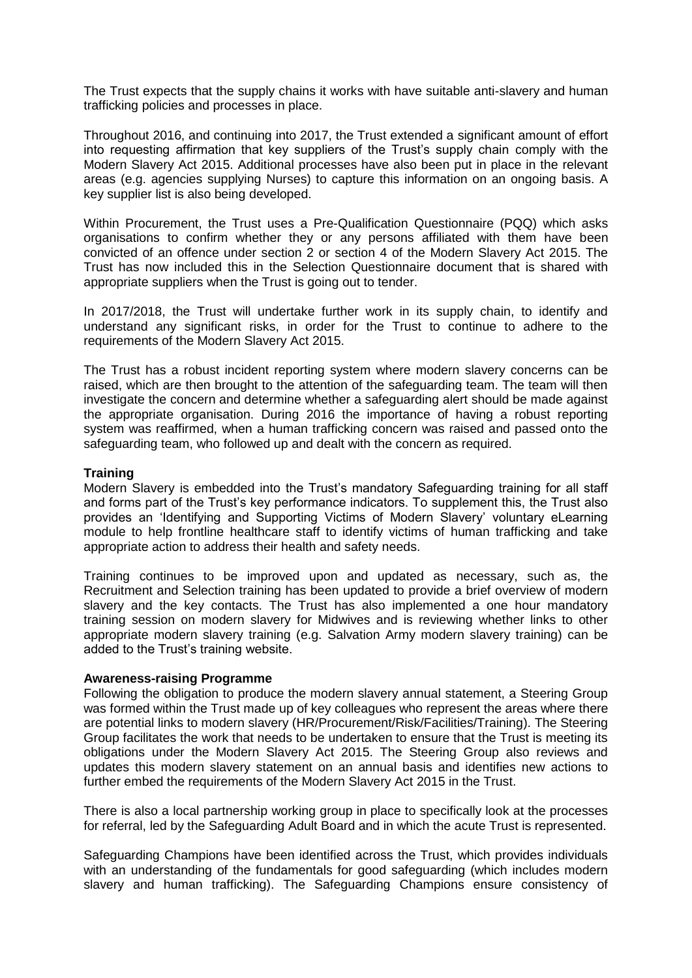The Trust expects that the supply chains it works with have suitable anti-slavery and human trafficking policies and processes in place.

Throughout 2016, and continuing into 2017, the Trust extended a significant amount of effort into requesting affirmation that key suppliers of the Trust's supply chain comply with the Modern Slavery Act 2015. Additional processes have also been put in place in the relevant areas (e.g. agencies supplying Nurses) to capture this information on an ongoing basis. A key supplier list is also being developed.

Within Procurement, the Trust uses a Pre-Qualification Questionnaire (PQQ) which asks organisations to confirm whether they or any persons affiliated with them have been convicted of an offence under section 2 or section 4 of the Modern Slavery Act 2015. The Trust has now included this in the Selection Questionnaire document that is shared with appropriate suppliers when the Trust is going out to tender.

In 2017/2018, the Trust will undertake further work in its supply chain, to identify and understand any significant risks, in order for the Trust to continue to adhere to the requirements of the Modern Slavery Act 2015.

The Trust has a robust incident reporting system where modern slavery concerns can be raised, which are then brought to the attention of the safeguarding team. The team will then investigate the concern and determine whether a safeguarding alert should be made against the appropriate organisation. During 2016 the importance of having a robust reporting system was reaffirmed, when a human trafficking concern was raised and passed onto the safeguarding team, who followed up and dealt with the concern as required.

## **Training**

Modern Slavery is embedded into the Trust's mandatory Safeguarding training for all staff and forms part of the Trust's key performance indicators. To supplement this, the Trust also provides an 'Identifying and Supporting Victims of Modern Slavery' voluntary eLearning module to help frontline healthcare staff to identify victims of human trafficking and take appropriate action to address their health and safety needs.

Training continues to be improved upon and updated as necessary, such as, the Recruitment and Selection training has been updated to provide a brief overview of modern slavery and the key contacts. The Trust has also implemented a one hour mandatory training session on modern slavery for Midwives and is reviewing whether links to other appropriate modern slavery training (e.g. Salvation Army modern slavery training) can be added to the Trust's training website.

#### **Awareness-raising Programme**

Following the obligation to produce the modern slavery annual statement, a Steering Group was formed within the Trust made up of key colleagues who represent the areas where there are potential links to modern slavery (HR/Procurement/Risk/Facilities/Training). The Steering Group facilitates the work that needs to be undertaken to ensure that the Trust is meeting its obligations under the Modern Slavery Act 2015. The Steering Group also reviews and updates this modern slavery statement on an annual basis and identifies new actions to further embed the requirements of the Modern Slavery Act 2015 in the Trust.

There is also a local partnership working group in place to specifically look at the processes for referral, led by the Safeguarding Adult Board and in which the acute Trust is represented.

Safeguarding Champions have been identified across the Trust, which provides individuals with an understanding of the fundamentals for good safeguarding (which includes modern slavery and human trafficking). The Safeguarding Champions ensure consistency of